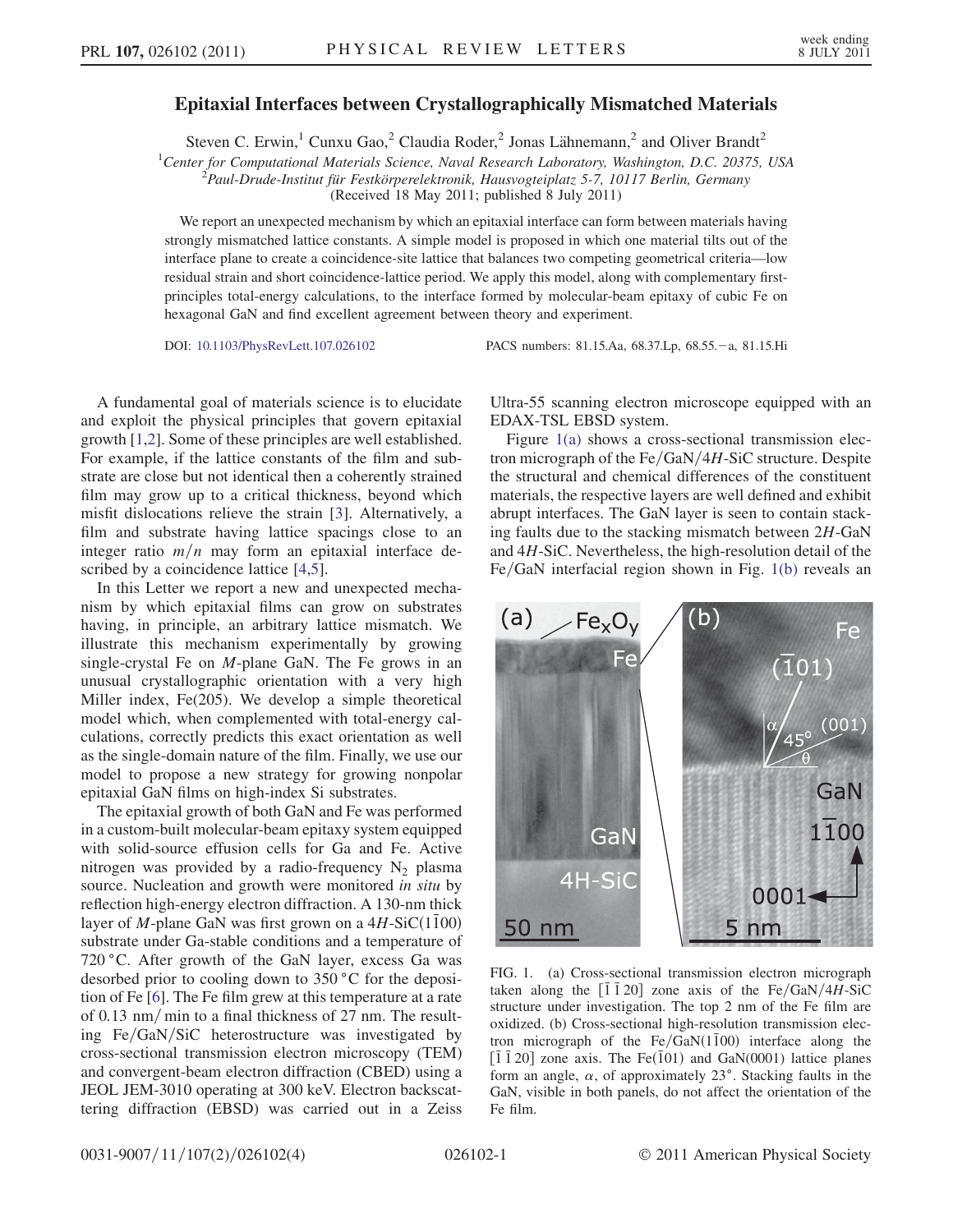## Epitaxial Interfaces between Crystallographically Mismatched Materials

Steven C. Erwin,<sup>1</sup> Cunxu Gao,<sup>2</sup> Claudia Roder,<sup>2</sup> Jonas Lähnemann,<sup>2</sup> and Oliver Brandt<sup>2</sup>

<sup>1</sup>Center for Computational Materials Science, Naval Research Laboratory, Washington, D.C. 20375, USA<br><sup>2</sup>Paul Drude Institut für Eestkörperelektronik Hausvosteinlatz 5.7, 10117 Berlin Germany

 $\mathbb{P}^2$ Paul-Drude-Institut für Festkörperelektronik, Hausvogteiplatz 5-7, 10117 Berlin, Germany

(Received 18 May 2011; published 8 July 2011)

We report an unexpected mechanism by which an epitaxial interface can form between materials having strongly mismatched lattice constants. A simple model is proposed in which one material tilts out of the interface plane to create a coincidence-site lattice that balances two competing geometrical criteria—low residual strain and short coincidence-lattice period. We apply this model, along with complementary firstprinciples total-energy calculations, to the interface formed by molecular-beam epitaxy of cubic Fe on hexagonal GaN and find excellent agreement between theory and experiment.

DOI: [10.1103/PhysRevLett.107.026102](http://dx.doi.org/10.1103/PhysRevLett.107.026102) PACS numbers: 81.15.Aa, 68.37.Lp, 68.55. - a, 81.15.Hi

A fundamental goal of materials science is to elucidate and exploit the physical principles that govern epitaxial growth [\[1](#page-3-0),[2](#page-3-1)]. Some of these principles are well established. For example, if the lattice constants of the film and substrate are close but not identical then a coherently strained film may grow up to a critical thickness, beyond which misfit dislocations relieve the strain [\[3\]](#page-3-2). Alternatively, a film and substrate having lattice spacings close to an integer ratio  $m/n$  may form an epitaxial interface described by a coincidence lattice [[4](#page-3-3),[5](#page-3-4)].

In this Letter we report a new and unexpected mechanism by which epitaxial films can grow on substrates having, in principle, an arbitrary lattice mismatch. We illustrate this mechanism experimentally by growing single-crystal Fe on M-plane GaN. The Fe grows in an unusual crystallographic orientation with a very high Miller index, Fe(205). We develop a simple theoretical model which, when complemented with total-energy calculations, correctly predicts this exact orientation as well as the single-domain nature of the film. Finally, we use our model to propose a new strategy for growing nonpolar epitaxial GaN films on high-index Si substrates.

The epitaxial growth of both GaN and Fe was performed in a custom-built molecular-beam epitaxy system equipped with solid-source effusion cells for Ga and Fe. Active nitrogen was provided by a radio-frequency  $N_2$  plasma source. Nucleation and growth were monitored in situ by reflection high-energy electron diffraction. A 130-nm thick layer of M-plane GaN was first grown on a  $4H-SiC(1100)$ substrate under Ga-stable conditions and a temperature of 720 °C. After growth of the GaN layer, excess Ga was desorbed prior to cooling down to 350 °C for the deposition of Fe [[6\]](#page-3-5). The Fe film grew at this temperature at a rate of 0.13 nm/min to a final thickness of 27 nm. The resulting  $Fe/GaN/SiC$  heterostructure was investigated by cross-sectional transmission electron microscopy (TEM) and convergent-beam electron diffraction (CBED) using a JEOL JEM-3010 operating at 300 keV. Electron backscattering diffraction (EBSD) was carried out in a Zeiss Ultra-55 scanning electron microscope equipped with an EDAX-TSL EBSD system.

Figure [1\(a\)](#page-0-0) shows a cross-sectional transmission electron micrograph of the  $Fe/GaN/4H-SiC$  structure. Despite the structural and chemical differences of the constituent materials, the respective layers are well defined and exhibit abrupt interfaces. The GaN layer is seen to contain stacking faults due to the stacking mismatch between 2H-GaN and 4H-SiC. Nevertheless, the high-resolution detail of the  $Fe/GaN$  interfacial region shown in Fig. [1\(b\)](#page-0-0) reveals an

<span id="page-0-1"></span>

<span id="page-0-0"></span>FIG. 1. (a) Cross-sectional transmission electron micrograph taken along the  $\lceil \overline{1} \, \overline{1} \, 20 \rceil$  zone axis of the Fe/GaN/4H-SiC structure under investigation. The top 2 nm of the Fe film are oxidized. (b) Cross-sectional high-resolution transmission electron micrograph of the Fe/GaN $(1\bar{1}00)$  interface along the  $\left[1\overline{1}\,20\right]$  zone axis. The Fe $\left(101\right)$  and GaN(0001) lattice planes form an angle,  $\alpha$ , of approximately 23°. Stacking faults in the GaN, visible in both panels, do not affect the orientation of the Fe film.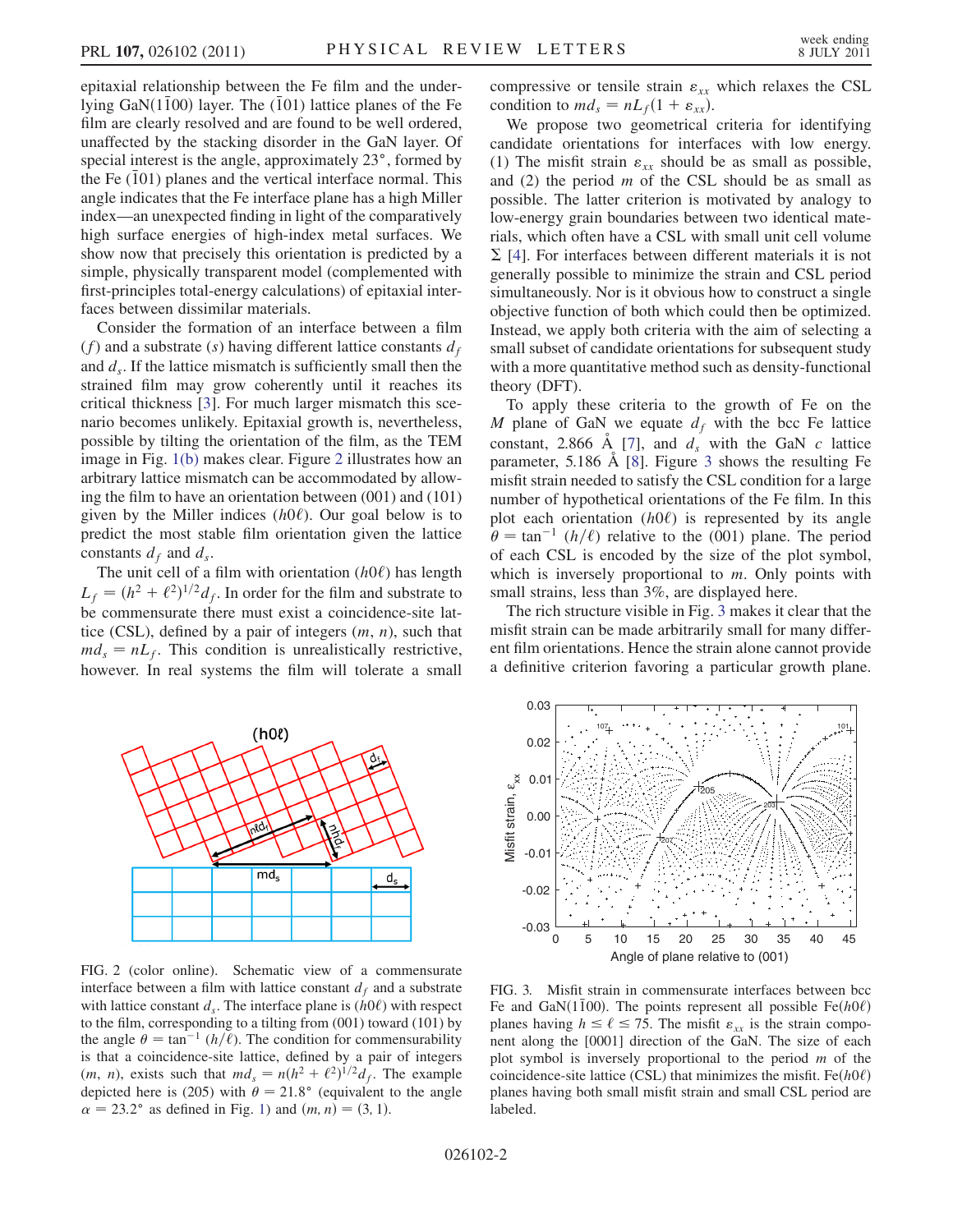epitaxial relationship between the Fe film and the underlying GaN $(1\bar{1}00)$  layer. The  $(\bar{1}01)$  lattice planes of the Fe film are clearly resolved and are found to be well ordered, unaffected by the stacking disorder in the GaN layer. Of special interest is the angle, approximately 23°, formed by the Fe  $(101)$  planes and the vertical interface normal. This angle indicates that the Fe interface plane has a high Miller index—an unexpected finding in light of the comparatively high surface energies of high-index metal surfaces. We show now that precisely this orientation is predicted by a simple, physically transparent model (complemented with first-principles total-energy calculations) of epitaxial interfaces between dissimilar materials.

Consider the formation of an interface between a film (f) and a substrate (s) having different lattice constants  $d_f$ and  $d_s$ . If the lattice mismatch is sufficiently small then the strained film may grow coherently until it reaches its critical thickness [\[3\]](#page-3-2). For much larger mismatch this scenario becomes unlikely. Epitaxial growth is, nevertheless, possible by tilting the orientation of the film, as the TEM image in Fig. [1\(b\)](#page-0-0) makes clear. Figure [2](#page-1-0) illustrates how an arbitrary lattice mismatch can be accommodated by allowing the film to have an orientation between (001) and (101) given by the Miller indices  $(h0\ell)$ . Our goal below is to predict the most stable film orientation given the lattice constants  $d_f$  and  $d_s$ .

The unit cell of a film with orientation  $(h0\ell)$  has length  $L_f = (h^2 + \ell^2)^{1/2} d_f$ . In order for the film and substrate to be commensurate there must exist a coincidence-site lattice (CSL), defined by a pair of integers  $(m, n)$ , such that  $md_s = nL_f$ . This condition is unrealistically restrictive, however. In real systems the film will tolerate a small compressive or tensile strain  $\varepsilon_{xx}$  which relaxes the CSL condition to  $md_s = nL_f(1 + \varepsilon_{xx})$ .

We propose two geometrical criteria for identifying candidate orientations for interfaces with low energy. (1) The misfit strain  $\varepsilon_{xx}$  should be as small as possible, and  $(2)$  the period m of the CSL should be as small as possible. The latter criterion is motivated by analogy to low-energy grain boundaries between two identical materials, which often have a CSL with small unit cell volume  $\Sigma$  [[4\]](#page-3-3). For interfaces between different materials it is not generally possible to minimize the strain and CSL period simultaneously. Nor is it obvious how to construct a single objective function of both which could then be optimized. Instead, we apply both criteria with the aim of selecting a small subset of candidate orientations for subsequent study with a more quantitative method such as density-functional theory (DFT).

To apply these criteria to the growth of Fe on the M plane of GaN we equate  $d_f$  with the bcc Fe lattice constant, 2.866 Å [\[7](#page-3-6)], and  $d_s$  with the GaN c lattice parameter,  $5.186 \text{ Å}$  [[8\]](#page-3-7). Figure [3](#page-1-1) shows the resulting Fe misfit strain needed to satisfy the CSL condition for a large number of hypothetical orientations of the Fe film. In this plot each orientation  $(h0\ell)$  is represented by its angle  $\hat{\theta} = \tan^{-1} (h/\ell)$  relative to the (001) plane. The period of each CSL is encoded by the size of the plot symbol, which is inversely proportional to  $m$ . Only points with small strains, less than 3%, are displayed here.

The rich structure visible in Fig. [3](#page-1-1) makes it clear that the misfit strain can be made arbitrarily small for many different film orientations. Hence the strain alone cannot provide a definitive criterion favoring a particular growth plane.

<span id="page-1-0"></span>

FIG. 2 (color online). Schematic view of a commensurate interface between a film with lattice constant  $d_f$  and a substrate with lattice constant  $d_s$ . The interface plane is  $(h0\ell)$  with respect to the film, corresponding to a tilting from (001) toward (101) by the angle  $\theta = \tan^{-1} (h/\ell)$ . The condition for commensurability is that a coincidence-site lattice, defined by a pair of integers  $(m, n)$ , exists such that  $md_s = n(h^2 + \ell^2)^{1/2} d_f$ . The example depicted here is (205) with  $\theta = 21.8^{\circ}$  (equivalent to the angle  $\alpha = 23.2^{\circ}$  as defined in Fig. [1\)](#page-0-1) and  $(m, n) = (3, 1)$ .

<span id="page-1-1"></span>

FIG. 3. Misfit strain in commensurate interfaces between bcc Fe and GaN $(1\bar{1}00)$ . The points represent all possible Fe $(h0\ell)$ planes having  $h \le \ell \le 75$ . The misfit  $\varepsilon_{xx}$  is the strain component along the [0001] direction of the GaN. The size of each plot symbol is inversely proportional to the period  $m$  of the coincidence-site lattice (CSL) that minimizes the misfit. Fe $(h0\ell)$ planes having both small misfit strain and small CSL period are labeled.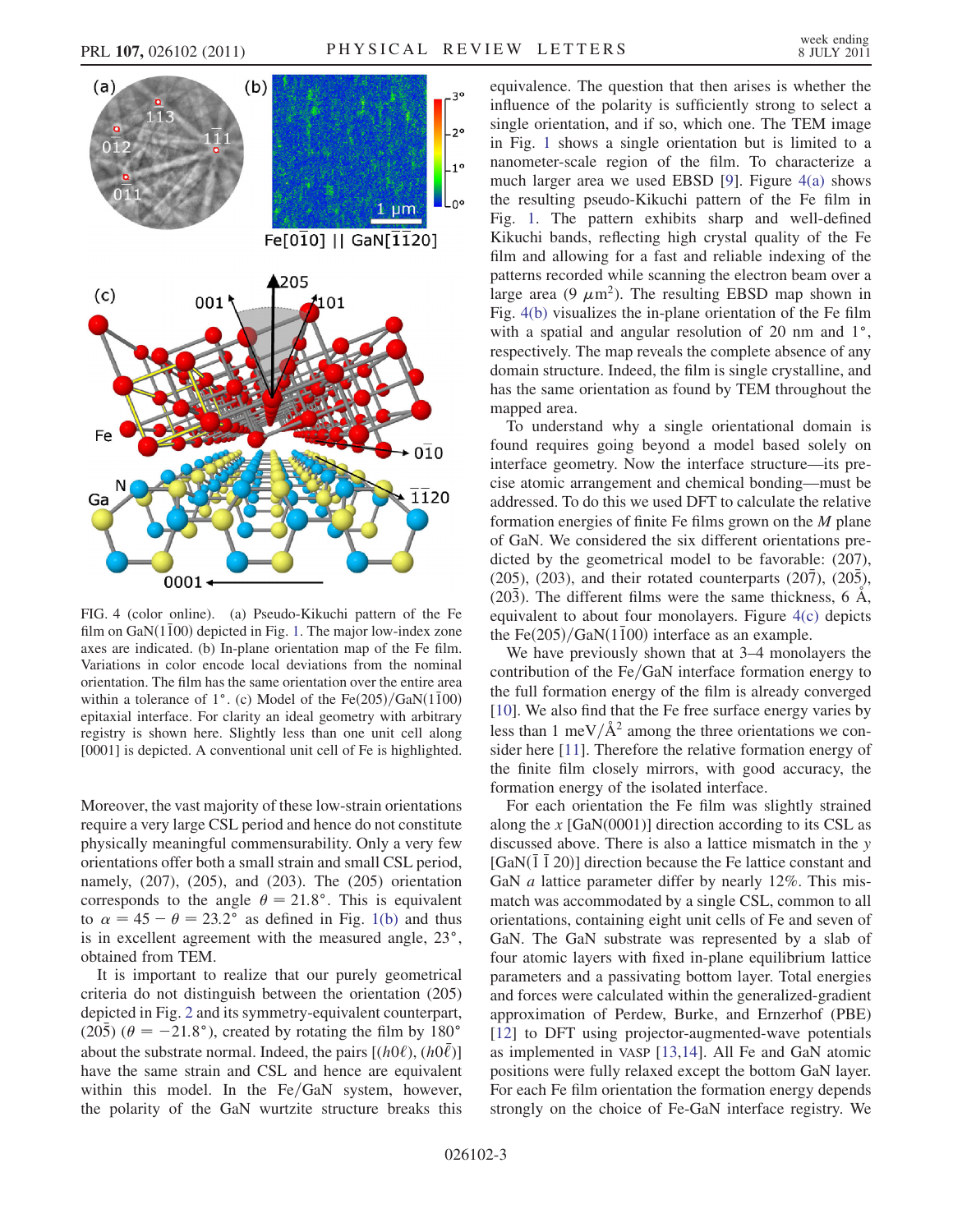

<span id="page-2-0"></span>FIG. 4 (color online). (a) Pseudo-Kikuchi pattern of the Fe film on  $GaN(1\bar{1}00)$  depicted in Fig. [1.](#page-0-1) The major low-index zone axes are indicated. (b) In-plane orientation map of the Fe film. Variations in color encode local deviations from the nominal orientation. The film has the same orientation over the entire area within a tolerance of  $1^{\circ}$ . (c) Model of the Fe $(205)/\text{GaN}(1\bar{1}00)$ epitaxial interface. For clarity an ideal geometry with arbitrary registry is shown here. Slightly less than one unit cell along [0001] is depicted. A conventional unit cell of Fe is highlighted.

Moreover, the vast majority of these low-strain orientations require a very large CSL period and hence do not constitute physically meaningful commensurability. Only a very few orientations offer both a small strain and small CSL period, namely, (207), (205), and (203). The (205) orientation corresponds to the angle  $\theta = 21.8^{\circ}$ . This is equivalent to  $\alpha = 45 - \theta = 23.2^{\circ}$  as defined in Fig. [1\(b\)](#page-0-0) and thus is in excellent agreement with the measured angle, 23°, obtained from TEM.

It is important to realize that our purely geometrical criteria do not distinguish between the orientation (205) depicted in Fig. [2](#page-1-0) and its symmetry-equivalent counterpart,  $(20\bar{5})$  ( $\theta = -21.8^{\circ}$ ), created by rotating the film by 180<sup>o</sup> about the substrate normal. Indeed, the pairs  $[(h0\ell), (h0\bar{\ell})]$ have the same strain and CSL and hence are equivalent within this model. In the  $Fe/GaN$  system, however, the polarity of the GaN wurtzite structure breaks this equivalence. The question that then arises is whether the influence of the polarity is sufficiently strong to select a single orientation, and if so, which one. The TEM image in Fig. [1](#page-0-1) shows a single orientation but is limited to a nanometer-scale region of the film. To characterize a much larger area we used EBSD [\[9\]](#page-3-8). Figure [4\(a\)](#page-2-0) shows the resulting pseudo-Kikuchi pattern of the Fe film in Fig. [1](#page-0-1). The pattern exhibits sharp and well-defined Kikuchi bands, reflecting high crystal quality of the Fe film and allowing for a fast and reliable indexing of the patterns recorded while scanning the electron beam over a large area  $(9 \mu m^2)$ . The resulting EBSD map shown in Fig. [4\(b\)](#page-2-0) visualizes the in-plane orientation of the Fe film with a spatial and angular resolution of  $20$  nm and  $1^\circ$ , respectively. The map reveals the complete absence of any domain structure. Indeed, the film is single crystalline, and has the same orientation as found by TEM throughout the mapped area.

To understand why a single orientational domain is found requires going beyond a model based solely on interface geometry. Now the interface structure—its precise atomic arrangement and chemical bonding—must be addressed. To do this we used DFT to calculate the relative formation energies of finite Fe films grown on the  $M$  plane of GaN. We considered the six different orientations predicted by the geometrical model to be favorable: (207), (205), (203), and their rotated counterparts (207), (205),  $(20\bar{3})$ . The different films were the same thickness, 6  $\AA$ , equivalent to about four monolayers. Figure [4\(c\)](#page-2-0) depicts the Fe $(205)/GaN(1\bar{1}00)$  interface as an example.

We have previously shown that at 3–4 monolayers the contribution of the  $Fe/GaN$  interface formation energy to the full formation energy of the film is already converged [\[10\]](#page-3-9). We also find that the Fe free surface energy varies by less than 1 meV/ $\AA$ <sup>2</sup> among the three orientations we consider here [[11\]](#page-3-10). Therefore the relative formation energy of the finite film closely mirrors, with good accuracy, the formation energy of the isolated interface.

For each orientation the Fe film was slightly strained along the x  $[GaN(0001)]$  direction according to its CSL as discussed above. There is also a lattice mismatch in the y [GaN $(\overline{1} \ \overline{1} \ 20)$ ] direction because the Fe lattice constant and GaN *a* lattice parameter differ by nearly 12%. This mismatch was accommodated by a single CSL, common to all orientations, containing eight unit cells of Fe and seven of GaN. The GaN substrate was represented by a slab of four atomic layers with fixed in-plane equilibrium lattice parameters and a passivating bottom layer. Total energies and forces were calculated within the generalized-gradient approximation of Perdew, Burke, and Ernzerhof (PBE) [\[12\]](#page-3-11) to DFT using projector-augmented-wave potentials as implemented in VASP [[13](#page-3-12)[,14](#page-3-13)]. All Fe and GaN atomic positions were fully relaxed except the bottom GaN layer. For each Fe film orientation the formation energy depends strongly on the choice of Fe-GaN interface registry. We